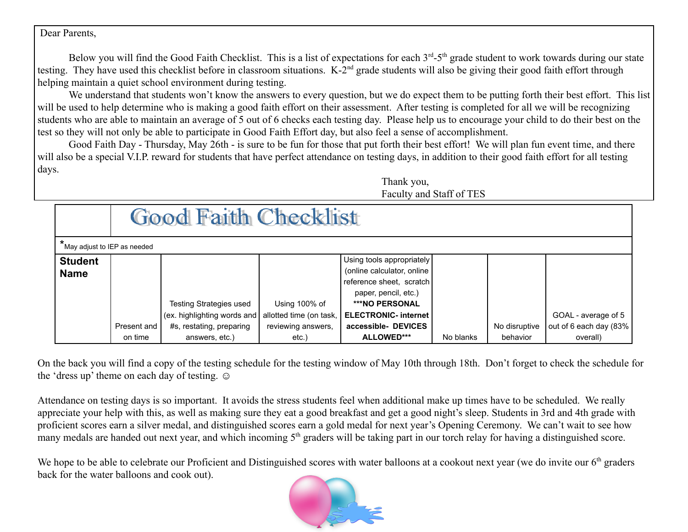Dear Parents,

Below you will find the Good Faith Checklist. This is a list of expectations for each  $3<sup>rd</sup> - 5<sup>th</sup>$  grade student to work towards during our state testing. They have used this checklist before in classroom situations.  $K-2<sup>nd</sup>$  grade students will also be giving their good faith effort through helping maintain a quiet school environment during testing.

We understand that students won't know the answers to every question, but we do expect them to be putting forth their best effort. This list will be used to help determine who is making a good faith effort on their assessment. After testing is completed for all we will be recognizing students who are able to maintain an average of 5 out of 6 checks each testing day. Please help us to encourage your child to do their best on the test so they will not only be able to participate in Good Faith Effort day, but also feel a sense of accomplishment.

Good Faith Day - Thursday, May 26th - is sure to be fun for those that put forth their best effort! We will plan fun event time, and there will also be a special V.I.P. reward for students that have perfect attendance on testing days, in addition to their good faith effort for all testing days.

Thank you, Faculty and Staff of TES

|                               | <b>Good Faith Checklist</b> |                                                               |                                          |                                                                                                                                                                     |           |                           |                                    |  |  |  |
|-------------------------------|-----------------------------|---------------------------------------------------------------|------------------------------------------|---------------------------------------------------------------------------------------------------------------------------------------------------------------------|-----------|---------------------------|------------------------------------|--|--|--|
| May adjust to IEP as needed   |                             |                                                               |                                          |                                                                                                                                                                     |           |                           |                                    |  |  |  |
| <b>Student</b><br><b>Name</b> |                             | <b>Testing Strategies used</b><br>(ex. highlighting words and | Using 100% of<br>allotted time (on task, | Using tools appropriately<br>(online calculator, online<br>reference sheet, scratch<br>paper, pencil, etc.)<br><b>***NO PERSONAL</b><br><b>ELECTRONIC- internet</b> |           |                           | GOAL - average of 5                |  |  |  |
|                               | Present and<br>on time      | #s, restating, preparing<br>answers, etc.)                    | reviewing answers,<br>$etc.$ )           | accessible- DEVICES<br>ALLOWED***                                                                                                                                   | No blanks | No disruptive<br>behavior | out of 6 each day (83%<br>overall) |  |  |  |

On the back you will find a copy of the testing schedule for the testing window of May 10th through 18th. Don't forget to check the schedule for the 'dress up' theme on each day of testing.  $\odot$ 

Attendance on testing days is so important. It avoids the stress students feel when additional make up times have to be scheduled. We really appreciate your help with this, as well as making sure they eat a good breakfast and get a good night's sleep. Students in 3rd and 4th grade with proficient scores earn a silver medal, and distinguished scores earn a gold medal for next year's Opening Ceremony. We can't wait to see how many medals are handed out next year, and which incoming 5<sup>th</sup> graders will be taking part in our torch relay for having a distinguished score.

We hope to be able to celebrate our Proficient and Distinguished scores with water balloons at a cookout next year (we do invite our  $6<sup>th</sup>$  graders back for the water balloons and cook out).